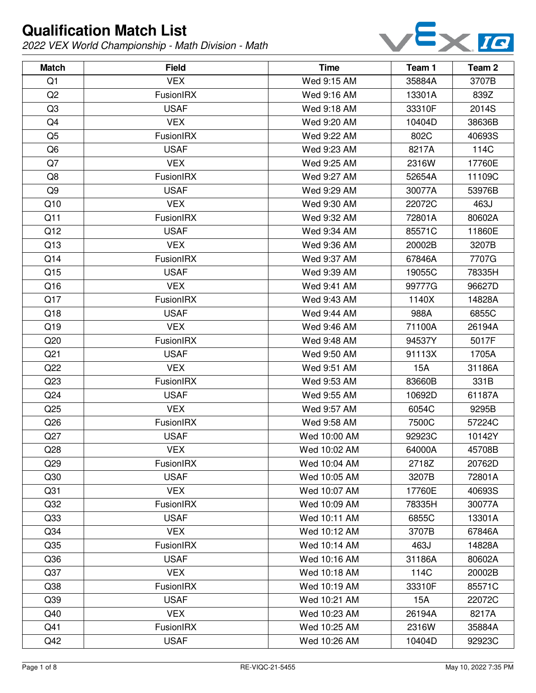

| <b>Match</b>    | <b>Field</b>     | <b>Time</b>  | Team 1 | Team 2 |
|-----------------|------------------|--------------|--------|--------|
| Q1              | <b>VEX</b>       | Wed 9:15 AM  | 35884A | 3707B  |
| Q2              | FusionIRX        | Wed 9:16 AM  | 13301A | 839Z   |
| Q <sub>3</sub>  | <b>USAF</b>      | Wed 9:18 AM  | 33310F | 2014S  |
| Q4              | <b>VEX</b>       | Wed 9:20 AM  | 10404D | 38636B |
| Q <sub>5</sub>  | FusionIRX        | Wed 9:22 AM  | 802C   | 40693S |
| Q <sub>6</sub>  | <b>USAF</b>      | Wed 9:23 AM  | 8217A  | 114C   |
| Q7              | <b>VEX</b>       | Wed 9:25 AM  | 2316W  | 17760E |
| Q8              | FusionIRX        | Wed 9:27 AM  | 52654A | 11109C |
| Q9              | <b>USAF</b>      | Wed 9:29 AM  | 30077A | 53976B |
| Q10             | <b>VEX</b>       | Wed 9:30 AM  | 22072C | 463J   |
| Q11             | FusionIRX        | Wed 9:32 AM  | 72801A | 80602A |
| Q12             | <b>USAF</b>      | Wed 9:34 AM  | 85571C | 11860E |
| Q13             | <b>VEX</b>       | Wed 9:36 AM  | 20002B | 3207B  |
| Q14             | FusionIRX        | Wed 9:37 AM  | 67846A | 7707G  |
| Q15             | <b>USAF</b>      | Wed 9:39 AM  | 19055C | 78335H |
| Q16             | <b>VEX</b>       | Wed 9:41 AM  | 99777G | 96627D |
| Q17             | FusionIRX        | Wed 9:43 AM  | 1140X  | 14828A |
| Q18             | <b>USAF</b>      | Wed 9:44 AM  | 988A   | 6855C  |
| Q19             | <b>VEX</b>       | Wed 9:46 AM  | 71100A | 26194A |
| Q20             | FusionIRX        | Wed 9:48 AM  | 94537Y | 5017F  |
| Q <sub>21</sub> | <b>USAF</b>      | Wed 9:50 AM  | 91113X | 1705A  |
| Q22             | <b>VEX</b>       | Wed 9:51 AM  | 15A    | 31186A |
| Q <sub>23</sub> | FusionIRX        | Wed 9:53 AM  | 83660B | 331B   |
| Q <sub>24</sub> | <b>USAF</b>      | Wed 9:55 AM  | 10692D | 61187A |
| Q25             | <b>VEX</b>       | Wed 9:57 AM  | 6054C  | 9295B  |
| Q <sub>26</sub> | FusionIRX        | Wed 9:58 AM  | 7500C  | 57224C |
| Q27             | <b>USAF</b>      | Wed 10:00 AM | 92923C | 10142Y |
| Q28             | <b>VEX</b>       | Wed 10:02 AM | 64000A | 45708B |
| Q <sub>29</sub> | <b>FusionIRX</b> | Wed 10:04 AM | 2718Z  | 20762D |
| Q30             | <b>USAF</b>      | Wed 10:05 AM | 3207B  | 72801A |
| Q <sub>31</sub> | <b>VEX</b>       | Wed 10:07 AM | 17760E | 40693S |
| Q <sub>32</sub> | FusionIRX        | Wed 10:09 AM | 78335H | 30077A |
| Q <sub>33</sub> | <b>USAF</b>      | Wed 10:11 AM | 6855C  | 13301A |
| Q <sub>34</sub> | <b>VEX</b>       | Wed 10:12 AM | 3707B  | 67846A |
| Q <sub>35</sub> | FusionIRX        | Wed 10:14 AM | 463J   | 14828A |
| Q36             | <b>USAF</b>      | Wed 10:16 AM | 31186A | 80602A |
| Q37             | <b>VEX</b>       | Wed 10:18 AM | 114C   | 20002B |
| Q <sub>38</sub> | FusionIRX        | Wed 10:19 AM | 33310F | 85571C |
| Q <sub>39</sub> | <b>USAF</b>      | Wed 10:21 AM | 15A    | 22072C |
| Q40             | <b>VEX</b>       | Wed 10:23 AM | 26194A | 8217A  |
| Q41             | FusionIRX        | Wed 10:25 AM | 2316W  | 35884A |
| Q42             | <b>USAF</b>      | Wed 10:26 AM | 10404D | 92923C |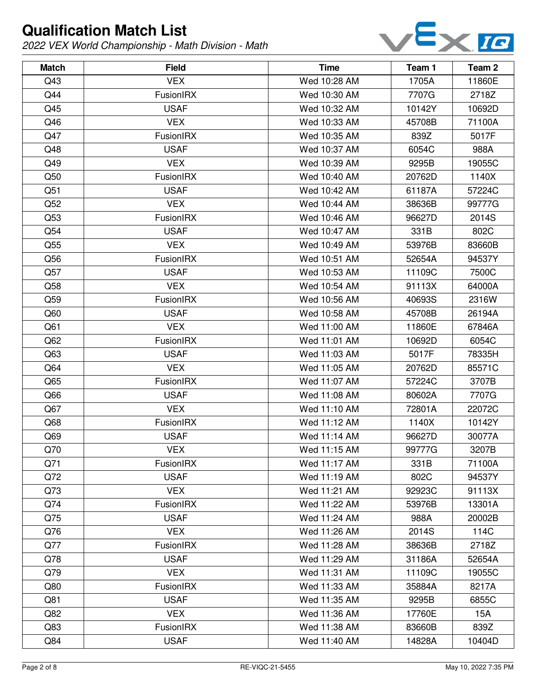

| <b>Match</b>    | <b>Field</b>     | <b>Time</b>  | Team 1 | Team 2 |
|-----------------|------------------|--------------|--------|--------|
| Q43             | <b>VEX</b>       | Wed 10:28 AM | 1705A  | 11860E |
| Q44             | FusionIRX        | Wed 10:30 AM | 7707G  | 2718Z  |
| Q45             | <b>USAF</b>      | Wed 10:32 AM | 10142Y | 10692D |
| Q46             | <b>VEX</b>       | Wed 10:33 AM | 45708B | 71100A |
| Q47             | FusionIRX        | Wed 10:35 AM | 839Z   | 5017F  |
| Q48             | <b>USAF</b>      | Wed 10:37 AM | 6054C  | 988A   |
| Q49             | <b>VEX</b>       | Wed 10:39 AM | 9295B  | 19055C |
| Q50             | FusionIRX        | Wed 10:40 AM | 20762D | 1140X  |
| Q51             | <b>USAF</b>      | Wed 10:42 AM | 61187A | 57224C |
| Q52             | <b>VEX</b>       | Wed 10:44 AM | 38636B | 99777G |
| Q53             | <b>FusionIRX</b> | Wed 10:46 AM | 96627D | 2014S  |
| Q54             | <b>USAF</b>      | Wed 10:47 AM | 331B   | 802C   |
| Q <sub>55</sub> | <b>VEX</b>       | Wed 10:49 AM | 53976B | 83660B |
| Q56             | FusionIRX        | Wed 10:51 AM | 52654A | 94537Y |
| Q57             | <b>USAF</b>      | Wed 10:53 AM | 11109C | 7500C  |
| Q58             | <b>VEX</b>       | Wed 10:54 AM | 91113X | 64000A |
| Q59             | FusionIRX        | Wed 10:56 AM | 40693S | 2316W  |
| Q60             | <b>USAF</b>      | Wed 10:58 AM | 45708B | 26194A |
| Q61             | <b>VEX</b>       | Wed 11:00 AM | 11860E | 67846A |
| Q62             | FusionIRX        | Wed 11:01 AM | 10692D | 6054C  |
| Q63             | <b>USAF</b>      | Wed 11:03 AM | 5017F  | 78335H |
| Q64             | <b>VEX</b>       | Wed 11:05 AM | 20762D | 85571C |
| Q65             | FusionIRX        | Wed 11:07 AM | 57224C | 3707B  |
| Q66             | <b>USAF</b>      | Wed 11:08 AM | 80602A | 7707G  |
| Q67             | <b>VEX</b>       | Wed 11:10 AM | 72801A | 22072C |
| Q68             | <b>FusionIRX</b> | Wed 11:12 AM | 1140X  | 10142Y |
| Q69             | <b>USAF</b>      | Wed 11:14 AM | 96627D | 30077A |
| Q70             | <b>VEX</b>       | Wed 11:15 AM | 99777G | 3207B  |
| Q71             | <b>FusionIRX</b> | Wed 11:17 AM | 331B   | 71100A |
| Q72             | <b>USAF</b>      | Wed 11:19 AM | 802C   | 94537Y |
| Q73             | <b>VEX</b>       | Wed 11:21 AM | 92923C | 91113X |
| Q74             | <b>FusionIRX</b> | Wed 11:22 AM | 53976B | 13301A |
| Q75             | <b>USAF</b>      | Wed 11:24 AM | 988A   | 20002B |
| Q76             | <b>VEX</b>       | Wed 11:26 AM | 2014S  | 114C   |
| Q77             | FusionIRX        | Wed 11:28 AM | 38636B | 2718Z  |
| Q78             | <b>USAF</b>      | Wed 11:29 AM | 31186A | 52654A |
| Q79             | <b>VEX</b>       | Wed 11:31 AM | 11109C | 19055C |
| Q80             | FusionIRX        | Wed 11:33 AM | 35884A | 8217A  |
| Q81             | <b>USAF</b>      | Wed 11:35 AM | 9295B  | 6855C  |
| Q82             | <b>VEX</b>       | Wed 11:36 AM | 17760E | 15A    |
| Q83             | <b>FusionIRX</b> | Wed 11:38 AM | 83660B | 839Z   |
| Q84             | <b>USAF</b>      | Wed 11:40 AM | 14828A | 10404D |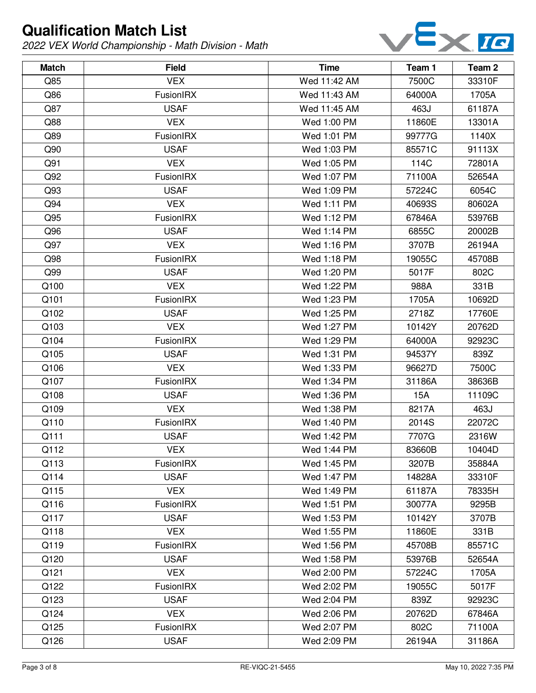

| <b>Match</b> | <b>Field</b>     | <b>Time</b>  | Team 1 | Team 2 |
|--------------|------------------|--------------|--------|--------|
| Q85          | <b>VEX</b>       | Wed 11:42 AM | 7500C  | 33310F |
| Q86          | FusionIRX        | Wed 11:43 AM | 64000A | 1705A  |
| Q87          | <b>USAF</b>      | Wed 11:45 AM | 463J   | 61187A |
| Q88          | <b>VEX</b>       | Wed 1:00 PM  | 11860E | 13301A |
| Q89          | FusionIRX        | Wed 1:01 PM  | 99777G | 1140X  |
| Q90          | <b>USAF</b>      | Wed 1:03 PM  | 85571C | 91113X |
| Q91          | <b>VEX</b>       | Wed 1:05 PM  | 114C   | 72801A |
| Q92          | FusionIRX        | Wed 1:07 PM  | 71100A | 52654A |
| Q93          | <b>USAF</b>      | Wed 1:09 PM  | 57224C | 6054C  |
| Q94          | <b>VEX</b>       | Wed 1:11 PM  | 40693S | 80602A |
| Q95          | <b>FusionIRX</b> | Wed 1:12 PM  | 67846A | 53976B |
| Q96          | <b>USAF</b>      | Wed 1:14 PM  | 6855C  | 20002B |
| Q97          | <b>VEX</b>       | Wed 1:16 PM  | 3707B  | 26194A |
| Q98          | FusionIRX        | Wed 1:18 PM  | 19055C | 45708B |
| Q99          | <b>USAF</b>      | Wed 1:20 PM  | 5017F  | 802C   |
| Q100         | <b>VEX</b>       | Wed 1:22 PM  | 988A   | 331B   |
| Q101         | FusionIRX        | Wed 1:23 PM  | 1705A  | 10692D |
| Q102         | <b>USAF</b>      | Wed 1:25 PM  | 2718Z  | 17760E |
| Q103         | <b>VEX</b>       | Wed 1:27 PM  | 10142Y | 20762D |
| Q104         | FusionIRX        | Wed 1:29 PM  | 64000A | 92923C |
| Q105         | <b>USAF</b>      | Wed 1:31 PM  | 94537Y | 839Z   |
| Q106         | <b>VEX</b>       | Wed 1:33 PM  | 96627D | 7500C  |
| Q107         | FusionIRX        | Wed 1:34 PM  | 31186A | 38636B |
| Q108         | <b>USAF</b>      | Wed 1:36 PM  | 15A    | 11109C |
| Q109         | <b>VEX</b>       | Wed 1:38 PM  | 8217A  | 463J   |
| Q110         | FusionIRX        | Wed 1:40 PM  | 2014S  | 22072C |
| Q111         | <b>USAF</b>      | Wed 1:42 PM  | 7707G  | 2316W  |
| Q112         | <b>VEX</b>       | Wed 1:44 PM  | 83660B | 10404D |
| Q113         | <b>FusionIRX</b> | Wed 1:45 PM  | 3207B  | 35884A |
| Q114         | <b>USAF</b>      | Wed 1:47 PM  | 14828A | 33310F |
| Q115         | <b>VEX</b>       | Wed 1:49 PM  | 61187A | 78335H |
| Q116         | <b>FusionIRX</b> | Wed 1:51 PM  | 30077A | 9295B  |
| Q117         | <b>USAF</b>      | Wed 1:53 PM  | 10142Y | 3707B  |
| Q118         | <b>VEX</b>       | Wed 1:55 PM  | 11860E | 331B   |
| Q119         | FusionIRX        | Wed 1:56 PM  | 45708B | 85571C |
| Q120         | <b>USAF</b>      | Wed 1:58 PM  | 53976B | 52654A |
| Q121         | <b>VEX</b>       | Wed 2:00 PM  | 57224C | 1705A  |
| Q122         | FusionIRX        | Wed 2:02 PM  | 19055C | 5017F  |
| Q123         | <b>USAF</b>      | Wed 2:04 PM  | 839Z   | 92923C |
| Q124         | <b>VEX</b>       | Wed 2:06 PM  | 20762D | 67846A |
| Q125         | <b>FusionIRX</b> | Wed 2:07 PM  | 802C   | 71100A |
| Q126         | <b>USAF</b>      | Wed 2:09 PM  | 26194A | 31186A |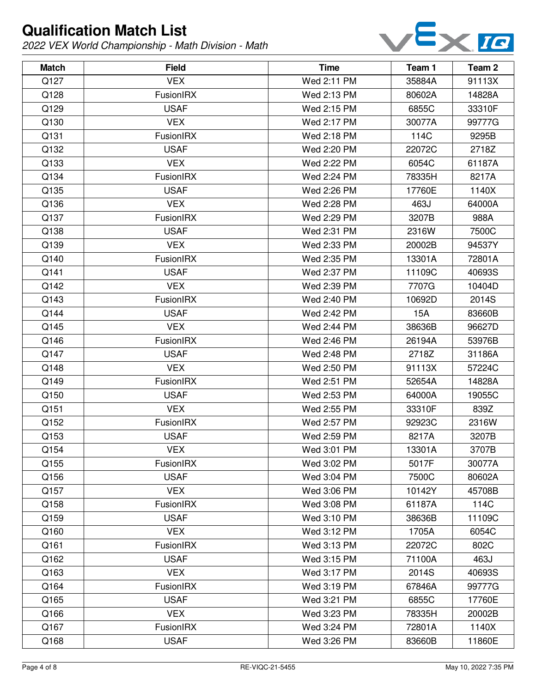

| <b>Match</b> | <b>Field</b>     | <b>Time</b> | Team 1 | Team 2 |
|--------------|------------------|-------------|--------|--------|
| Q127         | <b>VEX</b>       | Wed 2:11 PM | 35884A | 91113X |
| Q128         | FusionIRX        | Wed 2:13 PM | 80602A | 14828A |
| Q129         | <b>USAF</b>      | Wed 2:15 PM | 6855C  | 33310F |
| Q130         | <b>VEX</b>       | Wed 2:17 PM | 30077A | 99777G |
| Q131         | FusionIRX        | Wed 2:18 PM | 114C   | 9295B  |
| Q132         | <b>USAF</b>      | Wed 2:20 PM | 22072C | 2718Z  |
| Q133         | <b>VEX</b>       | Wed 2:22 PM | 6054C  | 61187A |
| Q134         | FusionIRX        | Wed 2:24 PM | 78335H | 8217A  |
| Q135         | <b>USAF</b>      | Wed 2:26 PM | 17760E | 1140X  |
| Q136         | <b>VEX</b>       | Wed 2:28 PM | 463J   | 64000A |
| Q137         | <b>FusionIRX</b> | Wed 2:29 PM | 3207B  | 988A   |
| Q138         | <b>USAF</b>      | Wed 2:31 PM | 2316W  | 7500C  |
| Q139         | <b>VEX</b>       | Wed 2:33 PM | 20002B | 94537Y |
| Q140         | FusionIRX        | Wed 2:35 PM | 13301A | 72801A |
| Q141         | <b>USAF</b>      | Wed 2:37 PM | 11109C | 40693S |
| Q142         | <b>VEX</b>       | Wed 2:39 PM | 7707G  | 10404D |
| Q143         | FusionIRX        | Wed 2:40 PM | 10692D | 2014S  |
| Q144         | <b>USAF</b>      | Wed 2:42 PM | 15A    | 83660B |
| Q145         | <b>VEX</b>       | Wed 2:44 PM | 38636B | 96627D |
| Q146         | FusionIRX        | Wed 2:46 PM | 26194A | 53976B |
| Q147         | <b>USAF</b>      | Wed 2:48 PM | 2718Z  | 31186A |
| Q148         | <b>VEX</b>       | Wed 2:50 PM | 91113X | 57224C |
| Q149         | FusionIRX        | Wed 2:51 PM | 52654A | 14828A |
| Q150         | <b>USAF</b>      | Wed 2:53 PM | 64000A | 19055C |
| Q151         | <b>VEX</b>       | Wed 2:55 PM | 33310F | 839Z   |
| Q152         | FusionIRX        | Wed 2:57 PM | 92923C | 2316W  |
| Q153         | <b>USAF</b>      | Wed 2:59 PM | 8217A  | 3207B  |
| Q154         | <b>VEX</b>       | Wed 3:01 PM | 13301A | 3707B  |
| Q155         | <b>FusionIRX</b> | Wed 3:02 PM | 5017F  | 30077A |
| Q156         | <b>USAF</b>      | Wed 3:04 PM | 7500C  | 80602A |
| Q157         | <b>VEX</b>       | Wed 3:06 PM | 10142Y | 45708B |
| Q158         | FusionIRX        | Wed 3:08 PM | 61187A | 114C   |
| Q159         | <b>USAF</b>      | Wed 3:10 PM | 38636B | 11109C |
| Q160         | <b>VEX</b>       | Wed 3:12 PM | 1705A  | 6054C  |
| Q161         | FusionIRX        | Wed 3:13 PM | 22072C | 802C   |
| Q162         | <b>USAF</b>      | Wed 3:15 PM | 71100A | 463J   |
| Q163         | <b>VEX</b>       | Wed 3:17 PM | 2014S  | 40693S |
| Q164         | FusionIRX        | Wed 3:19 PM | 67846A | 99777G |
| Q165         | <b>USAF</b>      | Wed 3:21 PM | 6855C  | 17760E |
| Q166         | <b>VEX</b>       | Wed 3:23 PM | 78335H | 20002B |
| Q167         | <b>FusionIRX</b> | Wed 3:24 PM | 72801A | 1140X  |
| Q168         | <b>USAF</b>      | Wed 3:26 PM | 83660B | 11860E |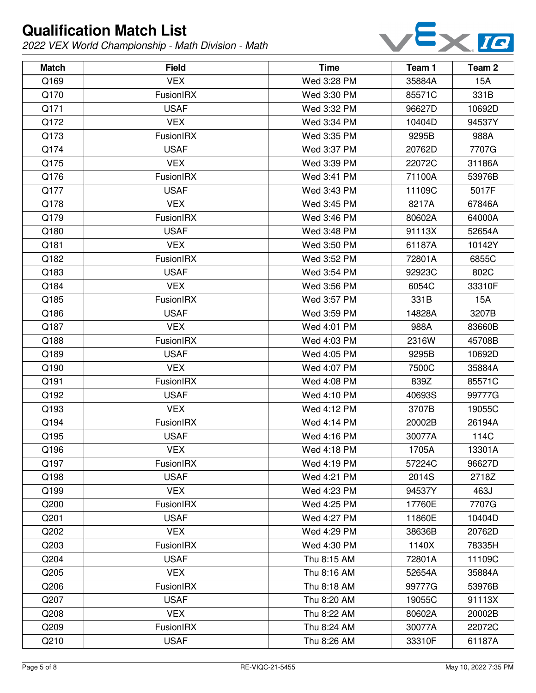

| <b>Match</b> | <b>Field</b>     | <b>Time</b> | Team 1 | Team 2     |
|--------------|------------------|-------------|--------|------------|
| Q169         | <b>VEX</b>       | Wed 3:28 PM | 35884A | 15A        |
| Q170         | FusionIRX        | Wed 3:30 PM | 85571C | 331B       |
| Q171         | <b>USAF</b>      | Wed 3:32 PM | 96627D | 10692D     |
| Q172         | <b>VEX</b>       | Wed 3:34 PM | 10404D | 94537Y     |
| Q173         | <b>FusionIRX</b> | Wed 3:35 PM | 9295B  | 988A       |
| Q174         | <b>USAF</b>      | Wed 3:37 PM | 20762D | 7707G      |
| Q175         | <b>VEX</b>       | Wed 3:39 PM | 22072C | 31186A     |
| Q176         | FusionIRX        | Wed 3:41 PM | 71100A | 53976B     |
| Q177         | <b>USAF</b>      | Wed 3:43 PM | 11109C | 5017F      |
| Q178         | <b>VEX</b>       | Wed 3:45 PM | 8217A  | 67846A     |
| Q179         | <b>FusionIRX</b> | Wed 3:46 PM | 80602A | 64000A     |
| Q180         | <b>USAF</b>      | Wed 3:48 PM | 91113X | 52654A     |
| Q181         | <b>VEX</b>       | Wed 3:50 PM | 61187A | 10142Y     |
| Q182         | FusionIRX        | Wed 3:52 PM | 72801A | 6855C      |
| Q183         | <b>USAF</b>      | Wed 3:54 PM | 92923C | 802C       |
| Q184         | <b>VEX</b>       | Wed 3:56 PM | 6054C  | 33310F     |
| Q185         | FusionIRX        | Wed 3:57 PM | 331B   | <b>15A</b> |
| Q186         | <b>USAF</b>      | Wed 3:59 PM | 14828A | 3207B      |
| Q187         | <b>VEX</b>       | Wed 4:01 PM | 988A   | 83660B     |
| Q188         | FusionIRX        | Wed 4:03 PM | 2316W  | 45708B     |
| Q189         | <b>USAF</b>      | Wed 4:05 PM | 9295B  | 10692D     |
| Q190         | <b>VEX</b>       | Wed 4:07 PM | 7500C  | 35884A     |
| Q191         | FusionIRX        | Wed 4:08 PM | 839Z   | 85571C     |
| Q192         | <b>USAF</b>      | Wed 4:10 PM | 40693S | 99777G     |
| Q193         | <b>VEX</b>       | Wed 4:12 PM | 3707B  | 19055C     |
| Q194         | <b>FusionIRX</b> | Wed 4:14 PM | 20002B | 26194A     |
| Q195         | <b>USAF</b>      | Wed 4:16 PM | 30077A | 114C       |
| Q196         | <b>VEX</b>       | Wed 4:18 PM | 1705A  | 13301A     |
| Q197         | FusionIRX        | Wed 4:19 PM | 57224C | 96627D     |
| Q198         | <b>USAF</b>      | Wed 4:21 PM | 2014S  | 2718Z      |
| Q199         | <b>VEX</b>       | Wed 4:23 PM | 94537Y | 463J       |
| Q200         | FusionIRX        | Wed 4:25 PM | 17760E | 7707G      |
| Q201         | <b>USAF</b>      | Wed 4:27 PM | 11860E | 10404D     |
| Q202         | <b>VEX</b>       | Wed 4:29 PM | 38636B | 20762D     |
| Q203         | FusionIRX        | Wed 4:30 PM | 1140X  | 78335H     |
| Q204         | <b>USAF</b>      | Thu 8:15 AM | 72801A | 11109C     |
| Q205         | <b>VEX</b>       | Thu 8:16 AM | 52654A | 35884A     |
| Q206         | FusionIRX        | Thu 8:18 AM | 99777G | 53976B     |
| Q207         | <b>USAF</b>      | Thu 8:20 AM | 19055C | 91113X     |
| Q208         | <b>VEX</b>       | Thu 8:22 AM | 80602A | 20002B     |
| Q209         | FusionIRX        | Thu 8:24 AM | 30077A | 22072C     |
| Q210         | <b>USAF</b>      | Thu 8:26 AM | 33310F | 61187A     |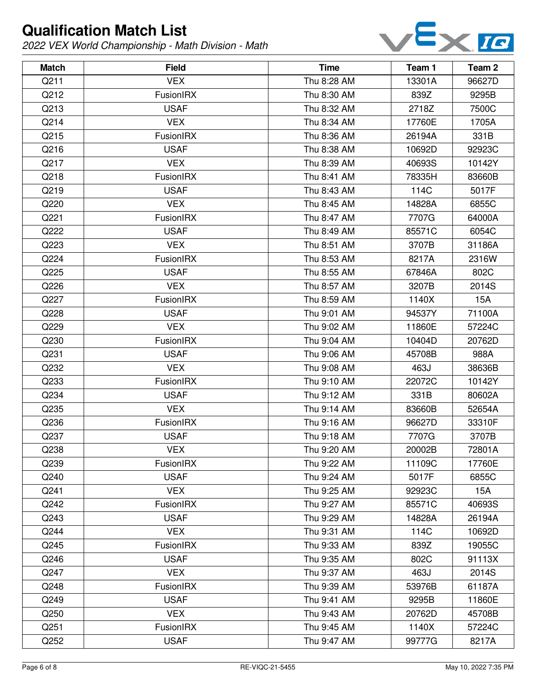

| <b>Match</b> | <b>Field</b>     | <b>Time</b> | Team 1 | Team 2 |
|--------------|------------------|-------------|--------|--------|
| Q211         | <b>VEX</b>       | Thu 8:28 AM | 13301A | 96627D |
| Q212         | FusionIRX        | Thu 8:30 AM | 839Z   | 9295B  |
| Q213         | <b>USAF</b>      | Thu 8:32 AM | 2718Z  | 7500C  |
| Q214         | <b>VEX</b>       | Thu 8:34 AM | 17760E | 1705A  |
| Q215         | FusionIRX        | Thu 8:36 AM | 26194A | 331B   |
| Q216         | <b>USAF</b>      | Thu 8:38 AM | 10692D | 92923C |
| Q217         | <b>VEX</b>       | Thu 8:39 AM | 40693S | 10142Y |
| Q218         | FusionIRX        | Thu 8:41 AM | 78335H | 83660B |
| Q219         | <b>USAF</b>      | Thu 8:43 AM | 114C   | 5017F  |
| Q220         | <b>VEX</b>       | Thu 8:45 AM | 14828A | 6855C  |
| Q221         | FusionIRX        | Thu 8:47 AM | 7707G  | 64000A |
| Q222         | <b>USAF</b>      | Thu 8:49 AM | 85571C | 6054C  |
| Q223         | <b>VEX</b>       | Thu 8:51 AM | 3707B  | 31186A |
| Q224         | FusionIRX        | Thu 8:53 AM | 8217A  | 2316W  |
| Q225         | <b>USAF</b>      | Thu 8:55 AM | 67846A | 802C   |
| Q226         | <b>VEX</b>       | Thu 8:57 AM | 3207B  | 2014S  |
| Q227         | FusionIRX        | Thu 8:59 AM | 1140X  | 15A    |
| Q228         | <b>USAF</b>      | Thu 9:01 AM | 94537Y | 71100A |
| Q229         | <b>VEX</b>       | Thu 9:02 AM | 11860E | 57224C |
| Q230         | FusionIRX        | Thu 9:04 AM | 10404D | 20762D |
| Q231         | <b>USAF</b>      | Thu 9:06 AM | 45708B | 988A   |
| Q232         | <b>VEX</b>       | Thu 9:08 AM | 463J   | 38636B |
| Q233         | FusionIRX        | Thu 9:10 AM | 22072C | 10142Y |
| Q234         | <b>USAF</b>      | Thu 9:12 AM | 331B   | 80602A |
| Q235         | <b>VEX</b>       | Thu 9:14 AM | 83660B | 52654A |
| Q236         | FusionIRX        | Thu 9:16 AM | 96627D | 33310F |
| Q237         | <b>USAF</b>      | Thu 9:18 AM | 7707G  | 3707B  |
| Q238         | <b>VEX</b>       | Thu 9:20 AM | 20002B | 72801A |
| Q239         | <b>FusionIRX</b> | Thu 9:22 AM | 11109C | 17760E |
| Q240         | <b>USAF</b>      | Thu 9:24 AM | 5017F  | 6855C  |
| Q241         | <b>VEX</b>       | Thu 9:25 AM | 92923C | 15A    |
| Q242         | FusionIRX        | Thu 9:27 AM | 85571C | 40693S |
| Q243         | <b>USAF</b>      | Thu 9:29 AM | 14828A | 26194A |
| Q244         | <b>VEX</b>       | Thu 9:31 AM | 114C   | 10692D |
| Q245         | FusionIRX        | Thu 9:33 AM | 839Z   | 19055C |
| Q246         | <b>USAF</b>      | Thu 9:35 AM | 802C   | 91113X |
| Q247         | <b>VEX</b>       | Thu 9:37 AM | 463J   | 2014S  |
| Q248         | FusionIRX        | Thu 9:39 AM | 53976B | 61187A |
| Q249         | <b>USAF</b>      | Thu 9:41 AM | 9295B  | 11860E |
| Q250         | <b>VEX</b>       | Thu 9:43 AM | 20762D | 45708B |
| Q251         | <b>FusionIRX</b> | Thu 9:45 AM | 1140X  | 57224C |
| Q252         | <b>USAF</b>      | Thu 9:47 AM | 99777G | 8217A  |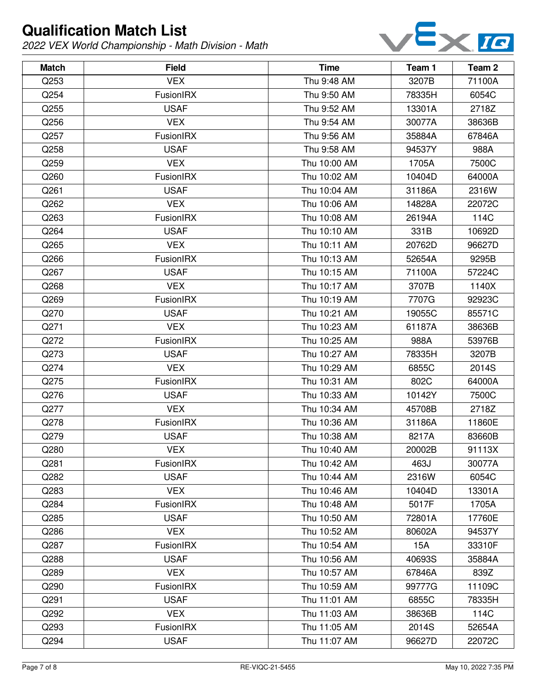

| <b>Match</b> | <b>Field</b>     | <b>Time</b>  | Team 1 | Team <sub>2</sub> |
|--------------|------------------|--------------|--------|-------------------|
| Q253         | <b>VEX</b>       | Thu 9:48 AM  | 3207B  | 71100A            |
| Q254         | FusionIRX        | Thu 9:50 AM  | 78335H | 6054C             |
| Q255         | <b>USAF</b>      | Thu 9:52 AM  | 13301A | 2718Z             |
| Q256         | <b>VEX</b>       | Thu 9:54 AM  | 30077A | 38636B            |
| Q257         | FusionIRX        | Thu 9:56 AM  | 35884A | 67846A            |
| Q258         | <b>USAF</b>      | Thu 9:58 AM  | 94537Y | 988A              |
| Q259         | <b>VEX</b>       | Thu 10:00 AM | 1705A  | 7500C             |
| Q260         | FusionIRX        | Thu 10:02 AM | 10404D | 64000A            |
| Q261         | <b>USAF</b>      | Thu 10:04 AM | 31186A | 2316W             |
| Q262         | <b>VEX</b>       | Thu 10:06 AM | 14828A | 22072C            |
| Q263         | <b>FusionIRX</b> | Thu 10:08 AM | 26194A | 114C              |
| Q264         | <b>USAF</b>      | Thu 10:10 AM | 331B   | 10692D            |
| Q265         | <b>VEX</b>       | Thu 10:11 AM | 20762D | 96627D            |
| Q266         | FusionIRX        | Thu 10:13 AM | 52654A | 9295B             |
| Q267         | <b>USAF</b>      | Thu 10:15 AM | 71100A | 57224C            |
| Q268         | <b>VEX</b>       | Thu 10:17 AM | 3707B  | 1140X             |
| Q269         | FusionIRX        | Thu 10:19 AM | 7707G  | 92923C            |
| Q270         | <b>USAF</b>      | Thu 10:21 AM | 19055C | 85571C            |
| Q271         | <b>VEX</b>       | Thu 10:23 AM | 61187A | 38636B            |
| Q272         | FusionIRX        | Thu 10:25 AM | 988A   | 53976B            |
| Q273         | <b>USAF</b>      | Thu 10:27 AM | 78335H | 3207B             |
| Q274         | <b>VEX</b>       | Thu 10:29 AM | 6855C  | 2014S             |
| Q275         | FusionIRX        | Thu 10:31 AM | 802C   | 64000A            |
| Q276         | <b>USAF</b>      | Thu 10:33 AM | 10142Y | 7500C             |
| Q277         | <b>VEX</b>       | Thu 10:34 AM | 45708B | 2718Z             |
| Q278         | <b>FusionIRX</b> | Thu 10:36 AM | 31186A | 11860E            |
| Q279         | <b>USAF</b>      | Thu 10:38 AM | 8217A  | 83660B            |
| Q280         | <b>VEX</b>       | Thu 10:40 AM | 20002B | 91113X            |
| Q281         | <b>FusionIRX</b> | Thu 10:42 AM | 463J   | 30077A            |
| Q282         | <b>USAF</b>      | Thu 10:44 AM | 2316W  | 6054C             |
| Q283         | <b>VEX</b>       | Thu 10:46 AM | 10404D | 13301A            |
| Q284         | FusionIRX        | Thu 10:48 AM | 5017F  | 1705A             |
| Q285         | <b>USAF</b>      | Thu 10:50 AM | 72801A | 17760E            |
| Q286         | <b>VEX</b>       | Thu 10:52 AM | 80602A | 94537Y            |
| Q287         | FusionIRX        | Thu 10:54 AM | 15A    | 33310F            |
| Q288         | <b>USAF</b>      | Thu 10:56 AM | 40693S | 35884A            |
| Q289         | <b>VEX</b>       | Thu 10:57 AM | 67846A | 839Z              |
| Q290         | FusionIRX        | Thu 10:59 AM | 99777G | 11109C            |
| Q291         | <b>USAF</b>      | Thu 11:01 AM | 6855C  | 78335H            |
| Q292         | <b>VEX</b>       | Thu 11:03 AM | 38636B | 114C              |
| Q293         | FusionIRX        | Thu 11:05 AM | 2014S  | 52654A            |
| Q294         | <b>USAF</b>      | Thu 11:07 AM | 96627D | 22072C            |